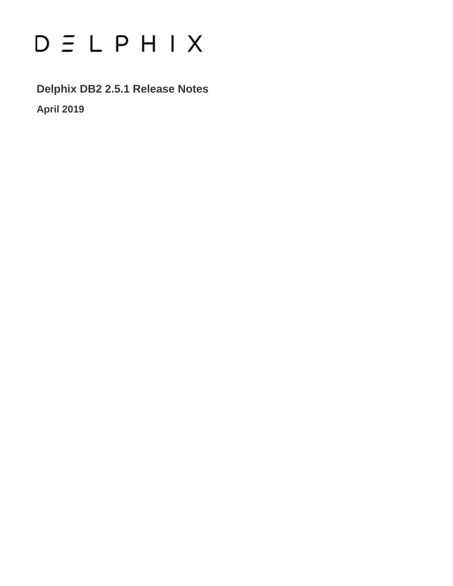# $D \subseteq L$   $P$   $H$   $I$   $X$

**Delphix DB2 2.5.1 Release Notes April 2019**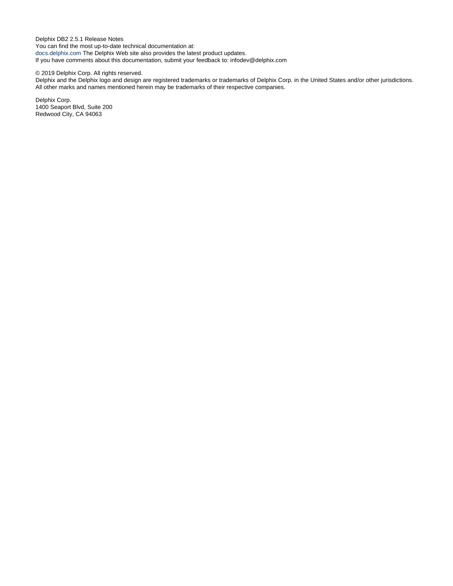Delphix DB2 2.5.1 Release Notes You can find the most up-to-date technical documentation at: [docs.delphix.com](http://docs.delphix.com) The Delphix Web site also provides the latest product updates. If you have comments about this documentation, submit your feedback to: infodev@delphix.com

#### © 2019 Delphix Corp. All rights reserved.

Delphix and the Delphix logo and design are registered trademarks or trademarks of Delphix Corp. in the United States and/or other jurisdictions. All other marks and names mentioned herein may be trademarks of their respective companies.

Delphix Corp. 1400 Seaport Blvd, Suite 200 Redwood City, CA 94063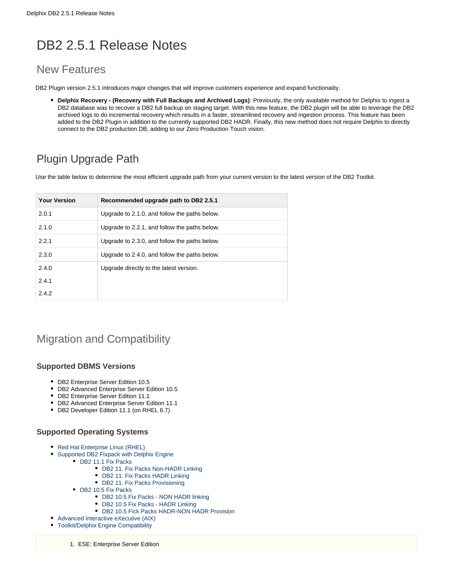# DB2 2.5.1 Release Notes

# New Features

DB2 Plugin version 2.5.1 introduces major changes that will improve customers experience and expand functionality.

**Delphix Recovery - (Recovery with Full Backups and Archived Logs)**: Previously, the only available method for Delphix to ingest a DB2 database was to recover a DB2 full backup on staging target. With this new feature, the DB2 plugin will be able to leverage the DB2 archived logs to do incremental recovery which results in a faster, streamlined recovery and ingestion process. This feature has been added to the DB2 Plugin in addition to the currently supported DB2 HADR. Finally, this new method does not require Delphix to directly connect to the DB2 production DB, adding to our Zero Production Touch vision.

# Plugin Upgrade Path

Use the table below to determine the most efficient upgrade path from your current version to the latest version of the DB2 Toolkit.

| <b>Your Version</b> | Recommended upgrade path to DB2 2.5.1         |
|---------------------|-----------------------------------------------|
| 2.0.1               | Upgrade to 2.1.0, and follow the paths below. |
| 2.1.0               | Upgrade to 2.2.1, and follow the paths below. |
| 2.2.1               | Upgrade to 2.3.0, and follow the paths below. |
| 2.3.0               | Upgrade to 2.4.0, and follow the paths below. |
| 2.4.0               | Upgrade directly to the latest version.       |
| 2.4.1               |                                               |
| 2.4.2               |                                               |

# Migration and Compatibility

#### **Supported DBMS Versions**

- DB2 Enterprise Server Edition 10.5
- DB2 Advanced Enterprise Server Edition 10.5
- DB2 Enterprise Server Edition 11.1
- DB2 Advanced Enterprise Server Edition 11.1
- DB2 Developer Edition 11.1 (on RHEL 6.7)

#### **Supported Operating Systems**

- Red Hat Enterprise Linux (RHEL)
- [Supported DB2 Fixpack with Delphix Engine](#page-3-1)
	- DB2 11.1 Fix Packs
		- [DB2 11. Fix Packs Non-HADR Linking](#page-3-3)
		- [DB2 11. Fix Packs HADR Linking](#page-3-4)
		- [DB2 11. Fix Packs Provisioning](#page-4-0)
	- [DB2 10.5 Fix Packs](#page-4-1)
		- [DB2 10.5 Fix Packs NON HADR linking](#page-4-2)
		- [DB2 10.5 Fix Packs HADR Linking](#page-4-3)
		- [DB2 10.5 Fick Packs HADR-NON HADR Provision](#page-4-4)
- [Advanced Interactive eXecutive \(AIX\)](#page-5-0)
- [Toolkit/Delphix Engine Compatibility](#page-5-1)
	- 1. ESE: Enterprise Server Edition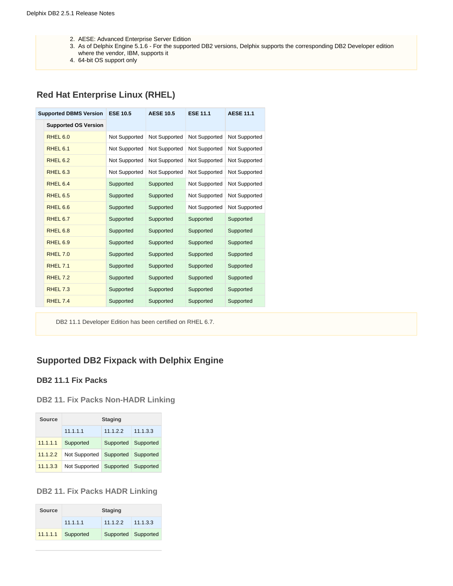- 2. AESE: Advanced Enterprise Server Edition
- 3. As of Delphix Engine 5.1.6 For the supported DB2 versions, Delphix supports the corresponding DB2 Developer edition
- where the vendor, IBM, supports it
- 4. 64-bit OS support only

## <span id="page-3-0"></span>**Red Hat Enterprise Linux (RHEL)**

| <b>Supported DBMS Version</b> | <b>ESE 10.5</b> | <b>AESE 10.5</b> | <b>ESE 11.1</b> | <b>AESE 11.1</b> |
|-------------------------------|-----------------|------------------|-----------------|------------------|
| <b>Supported OS Version</b>   |                 |                  |                 |                  |
| RHEL <sub>6.0</sub>           | Not Supported   | Not Supported    | Not Supported   | Not Supported    |
| RHEL <sub>6.1</sub>           | Not Supported   | Not Supported    | Not Supported   | Not Supported    |
| RHEL <sub>6.2</sub>           | Not Supported   | Not Supported    | Not Supported   | Not Supported    |
| RHEL <sub>6.3</sub>           | Not Supported   | Not Supported    | Not Supported   | Not Supported    |
| RHEL 6.4                      | Supported       | Supported        | Not Supported   | Not Supported    |
| RHEL <sub>6.5</sub>           | Supported       | Supported        | Not Supported   | Not Supported    |
| RHEL <sub>6.6</sub>           | Supported       | Supported        | Not Supported   | Not Supported    |
| RHEL 6.7                      | Supported       | Supported        | Supported       | Supported        |
| RHEL <sub>6.8</sub>           | Supported       | Supported        | Supported       | Supported        |
| RHEL <sub>6.9</sub>           | Supported       | Supported        | Supported       | Supported        |
| <b>RHEL 7.0</b>               | Supported       | Supported        | Supported       | Supported        |
| <b>RHEL 7.1</b>               | Supported       | Supported        | Supported       | Supported        |
| RHEL 7.2                      | Supported       | Supported        | Supported       | Supported        |
| RHEL 7.3                      | Supported       | Supported        | Supported       | Supported        |
| RHEL 7.4                      | Supported       | Supported        | Supported       | Supported        |

DB2 11.1 Developer Edition has been certified on RHEL 6.7.

# <span id="page-3-1"></span>**Supported DB2 Fixpack with Delphix Engine**

#### <span id="page-3-2"></span>**DB2 11.1 Fix Packs**

#### <span id="page-3-3"></span>**DB2 11. Fix Packs Non-HADR Linking**

| Source   |               | <b>Staging</b> |           |  |  |
|----------|---------------|----------------|-----------|--|--|
|          | 11.1.1.1      | 11.1.2.2       | 11.1.3.3  |  |  |
| 11.1.1.1 | Supported     | Supported      | Supported |  |  |
| 11.1.2.2 | Not Supported | Supported      | Supported |  |  |
| 11.1.3.3 | Not Supported | Supported      | Supported |  |  |

<span id="page-3-4"></span>**DB2 11. Fix Packs HADR Linking**

| <b>Source</b> |           | <b>Staging</b>      |          |  |  |
|---------------|-----------|---------------------|----------|--|--|
|               | 11.1.1.1  | 11.1.2.2            | 11.1.3.3 |  |  |
| 11.1.1.1      | Supported | Supported Supported |          |  |  |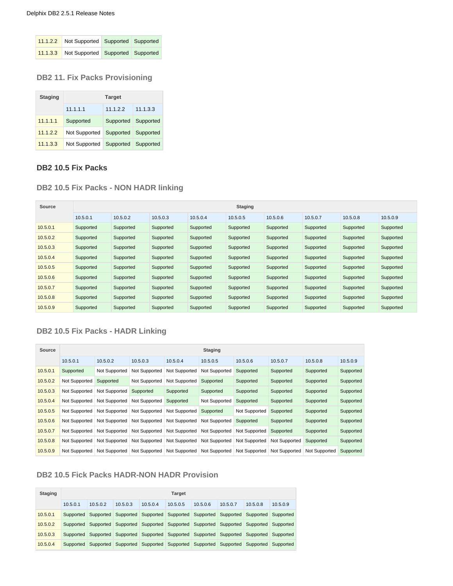| 11.1.2.2 Not Supported Supported Supported |  |
|--------------------------------------------|--|
| 11.1.3.3 Not Supported Supported Supported |  |

#### <span id="page-4-0"></span>**DB2 11. Fix Packs Provisioning**

| <b>Staging</b> | <b>Target</b> |           |           |  |  |  |  |
|----------------|---------------|-----------|-----------|--|--|--|--|
|                | 11.1.1.1      | 11122     | 11.1.3.3  |  |  |  |  |
| 11.1.1.1       | Supported     | Supported | Supported |  |  |  |  |
| 11.1.2.2       | Not Supported | Supported | Supported |  |  |  |  |
| 11.1.3.3       | Not Supported | Supported | Supported |  |  |  |  |

#### <span id="page-4-1"></span>**DB2 10.5 Fix Packs**

#### <span id="page-4-2"></span>**DB2 10.5 Fix Packs - NON HADR linking**

| Source   | <b>Staging</b> |           |           |           |           |           |           |           |           |  |  |
|----------|----------------|-----------|-----------|-----------|-----------|-----------|-----------|-----------|-----------|--|--|
|          | 10.5.0.1       | 10.5.0.2  | 10.5.0.3  | 10.5.0.4  | 10.5.0.5  | 10.5.0.6  | 10.5.0.7  | 10.5.0.8  | 10.5.0.9  |  |  |
| 10.5.0.1 | Supported      | Supported | Supported | Supported | Supported | Supported | Supported | Supported | Supported |  |  |
| 10.5.0.2 | Supported      | Supported | Supported | Supported | Supported | Supported | Supported | Supported | Supported |  |  |
| 10.5.0.3 | Supported      | Supported | Supported | Supported | Supported | Supported | Supported | Supported | Supported |  |  |
| 10.5.0.4 | Supported      | Supported | Supported | Supported | Supported | Supported | Supported | Supported | Supported |  |  |
| 10.5.0.5 | Supported      | Supported | Supported | Supported | Supported | Supported | Supported | Supported | Supported |  |  |
| 10.5.0.6 | Supported      | Supported | Supported | Supported | Supported | Supported | Supported | Supported | Supported |  |  |
| 10.5.0.7 | Supported      | Supported | Supported | Supported | Supported | Supported | Supported | Supported | Supported |  |  |
| 10.5.0.8 | Supported      | Supported | Supported | Supported | Supported | Supported | Supported | Supported | Supported |  |  |
| 10.5.0.9 | Supported      | Supported | Supported | Supported | Supported | Supported | Supported | Supported | Supported |  |  |

#### <span id="page-4-3"></span>**DB2 10.5 Fix Packs - HADR Linking**

| Source   |               |                      |                      |                      | <b>Staging</b>       |               |               |               |           |
|----------|---------------|----------------------|----------------------|----------------------|----------------------|---------------|---------------|---------------|-----------|
|          | 10.5.0.1      | 10.5.0.2             | 10.5.0.3             | 10.5.0.4             | 10.5.0.5             | 10.5.0.6      | 10.5.0.7      | 10.5.0.8      | 10.5.0.9  |
| 10.5.0.1 | Supported     | Not Supported        | Not Supported        | Not Supported        | Not Supported        | Supported     | Supported     | Supported     | Supported |
| 10.5.0.2 | Not Supported | Supported            | Not Supported        | Not Supported        | Supported            | Supported     | Supported     | Supported     | Supported |
| 10.5.0.3 | Not Supported | <b>Not Supported</b> | Supported            | Supported            | Supported            | Supported     | Supported     | Supported     | Supported |
| 10.5.0.4 | Not Supported | <b>Not Supported</b> | Not Supported        | Supported            | Not Supported        | Supported     | Supported     | Supported     | Supported |
| 10.5.0.5 | Not Supported | <b>Not Supported</b> | Not Supported        | Not Supported        | Supported            | Not Supported | Supported     | Supported     | Supported |
| 10.5.0.6 | Not Supported | Not Supported        | Not Supported        | Not Supported        | Not Supported        | Supported     | Supported     | Supported     | Supported |
| 10.5.0.7 | Not Supported | <b>Not Supported</b> | <b>Not Supported</b> | Not Supported        | Not Supported        | Not Supported | Supported     | Supported     | Supported |
| 10.5.0.8 | Not Supported | <b>Not Supported</b> | Not Supported        | <b>Not Supported</b> | <b>Not Supported</b> | Not Supported | Not Supported | Supported     | Supported |
| 10.5.0.9 | Not Supported | Not Supported        | Not Supported        | Not Supported        | Not Supported        | Not Supported | Not Supported | Not Supported | Supported |

#### <span id="page-4-4"></span>**DB2 10.5 Fick Packs HADR-NON HADR Provision**

| <b>Staging</b> |          | <b>Target</b> |                                                                                           |          |          |          |          |          |          |  |  |
|----------------|----------|---------------|-------------------------------------------------------------------------------------------|----------|----------|----------|----------|----------|----------|--|--|
|                | 10.5.0.1 | 10.5.0.2      | 10.5.0.3                                                                                  | 10.5.0.4 | 10.5.0.5 | 10.5.0.6 | 10.5.0.7 | 10.5.0.8 | 10.5.0.9 |  |  |
| 10.5.0.1       |          |               | Supported Supported Supported Supported Supported Supported Supported Supported Supported |          |          |          |          |          |          |  |  |
| 10.5.0.2       |          |               | Supported Supported Supported Supported Supported Supported Supported Supported Supported |          |          |          |          |          |          |  |  |
| 10.5.0.3       |          |               | Supported Supported Supported Supported Supported Supported Supported Supported Supported |          |          |          |          |          |          |  |  |
| 10.5.0.4       |          |               | Supported Supported Supported Supported Supported Supported Supported Supported Supported |          |          |          |          |          |          |  |  |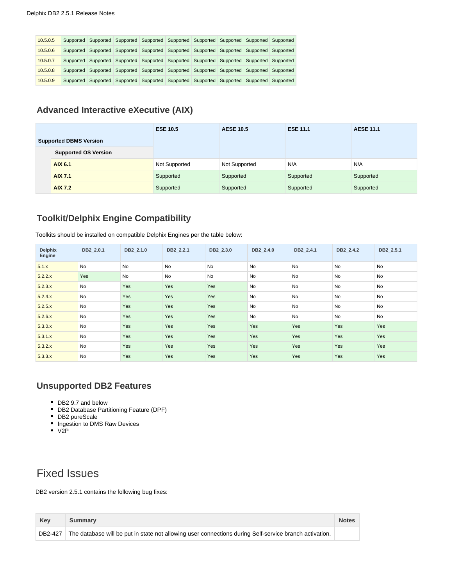| 10.5.0.5 |  |  | Supported Supported Supported Supported Supported Supported Supported Supported Supported |  |  |
|----------|--|--|-------------------------------------------------------------------------------------------|--|--|
| 10.5.0.6 |  |  | Supported Supported Supported Supported Supported Supported Supported Supported Supported |  |  |
| 10.5.0.7 |  |  | Supported Supported Supported Supported Supported Supported Supported Supported Supported |  |  |
| 10.5.0.8 |  |  | Supported Supported Supported Supported Supported Supported Supported Supported Supported |  |  |
| 10.5.0.9 |  |  | Supported Supported Supported Supported Supported Supported Supported Supported Supported |  |  |

#### <span id="page-5-0"></span>**Advanced Interactive eXecutive (AIX)**

|  |                               | <b>ESE 10.5</b> | <b>AESE 10.5</b> | <b>ESE 11.1</b> | <b>AESE 11.1</b> |
|--|-------------------------------|-----------------|------------------|-----------------|------------------|
|  | <b>Supported DBMS Version</b> |                 |                  |                 |                  |
|  | <b>Supported OS Version</b>   |                 |                  |                 |                  |
|  | AIX 6.1                       | Not Supported   | Not Supported    | N/A             | N/A              |
|  | <b>AIX 7.1</b>                | Supported       | Supported        | Supported       | Supported        |
|  | <b>AIX 7.2</b>                | Supported       | Supported        | Supported       | Supported        |

### <span id="page-5-1"></span>**Toolkit/Delphix Engine Compatibility**

Toolkits should be installed on compatible Delphix Engines per the table below:

| <b>Delphix</b><br>Engine | DB2 2.0.1 | DB2 2.1.0 | DB2 2.2.1 | DB2 2.3.0 | DB2 2.4.0 | DB2 2.4.1 | DB2 2.4.2 | DB2 2.5.1 |
|--------------------------|-----------|-----------|-----------|-----------|-----------|-----------|-----------|-----------|
| 5.1.x                    | <b>No</b> | No        | No        | <b>No</b> | <b>No</b> | <b>No</b> | <b>No</b> | <b>No</b> |
| 5.2.2.x                  | Yes       | No        | No        | No        | <b>No</b> | <b>No</b> | <b>No</b> | <b>No</b> |
| 5.2.3.x                  | <b>No</b> | Yes       | Yes       | Yes       | <b>No</b> | <b>No</b> | <b>No</b> | <b>No</b> |
| 5.2.4.x                  | No        | Yes       | Yes       | Yes       | No        | <b>No</b> | <b>No</b> | <b>No</b> |
| 5.2.5.x                  | No        | Yes       | Yes       | Yes       | No        | <b>No</b> | <b>No</b> | <b>No</b> |
| 5.2.6.x                  | No        | Yes       | Yes       | Yes       | <b>No</b> | No        | <b>No</b> | <b>No</b> |
| 5.3.0.x                  | No        | Yes       | Yes       | Yes       | Yes       | Yes       | Yes       | Yes       |
| 5.3.1.x                  | No        | Yes       | Yes       | Yes       | Yes       | Yes       | Yes       | Yes       |
| 5.3.2.x                  | No        | Yes       | Yes       | Yes       | Yes       | Yes       | Yes       | Yes       |
| 5.3.3.x                  | No        | Yes       | Yes       | Yes       | Yes       | Yes       | Yes       | Yes       |

#### **Unsupported DB2 Features**

- DB2 9.7 and below
- DB2 Database Partitioning Feature (DPF)
- DB2 pureScale
- Ingestion to DMS Raw Devices
- V2P

# Fixed Issues

DB2 version 2.5.1 contains the following bug fixes:

| Kev     | <b>Summary</b>                                                                                         | <b>Notes</b> |
|---------|--------------------------------------------------------------------------------------------------------|--------------|
| DB2-427 | The database will be put in state not allowing user connections during Self-service branch activation. |              |